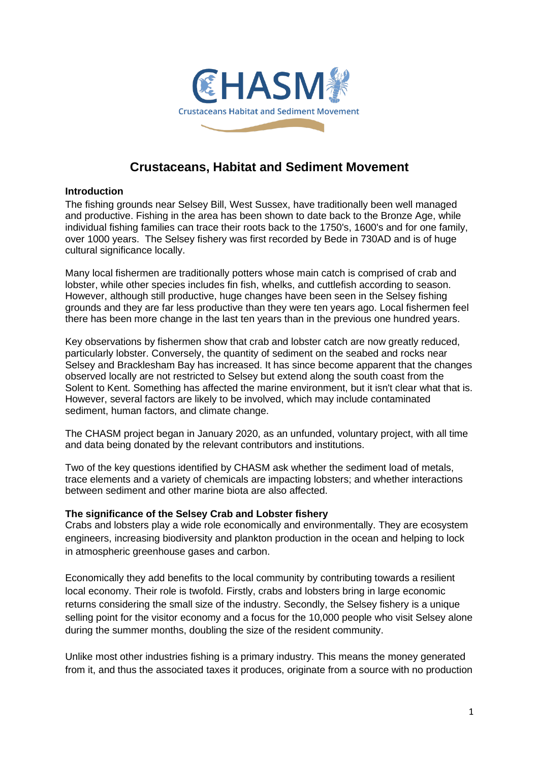

# **Crustaceans, Habitat and Sediment Movement**

#### **Introduction**

The fishing grounds near Selsey Bill, West Sussex, have traditionally been well managed and productive. Fishing in the area has been shown to date back to the Bronze Age, while individual fishing families can trace their roots back to the 1750's, 1600's and for one family, over 1000 years. The Selsey fishery was first recorded by Bede in 730AD and is of huge cultural significance locally.

Many local fishermen are traditionally potters whose main catch is comprised of crab and lobster, while other species includes fin fish, whelks, and cuttlefish according to season. However, although still productive, huge changes have been seen in the Selsey fishing grounds and they are far less productive than they were ten years ago. Local fishermen feel there has been more change in the last ten years than in the previous one hundred years.

Key observations by fishermen show that crab and lobster catch are now greatly reduced, particularly lobster. Conversely, the quantity of sediment on the seabed and rocks near Selsey and Bracklesham Bay has increased. It has since become apparent that the changes observed locally are not restricted to Selsey but extend along the south coast from the Solent to Kent. Something has affected the marine environment, but it isn't clear what that is. However, several factors are likely to be involved, which may include contaminated sediment, human factors, and climate change.

The CHASM project began in January 2020, as an unfunded, voluntary project, with all time and data being donated by the relevant contributors and institutions.

Two of the key questions identified by CHASM ask whether the sediment load of metals, trace elements and a variety of chemicals are impacting lobsters; and whether interactions between sediment and other marine biota are also affected.

#### **The significance of the Selsey Crab and Lobster fishery**

Crabs and lobsters play a wide role economically and environmentally. They are ecosystem engineers, increasing biodiversity and plankton production in the ocean and helping to lock in atmospheric greenhouse gases and carbon.

Economically they add benefits to the local community by contributing towards a resilient local economy. Their role is twofold. Firstly, crabs and lobsters bring in large economic returns considering the small size of the industry. Secondly, the Selsey fishery is a unique selling point for the visitor economy and a focus for the 10,000 people who visit Selsey alone during the summer months, doubling the size of the resident community.

Unlike most other industries fishing is a primary industry. This means the money generated from it, and thus the associated taxes it produces, originate from a source with no production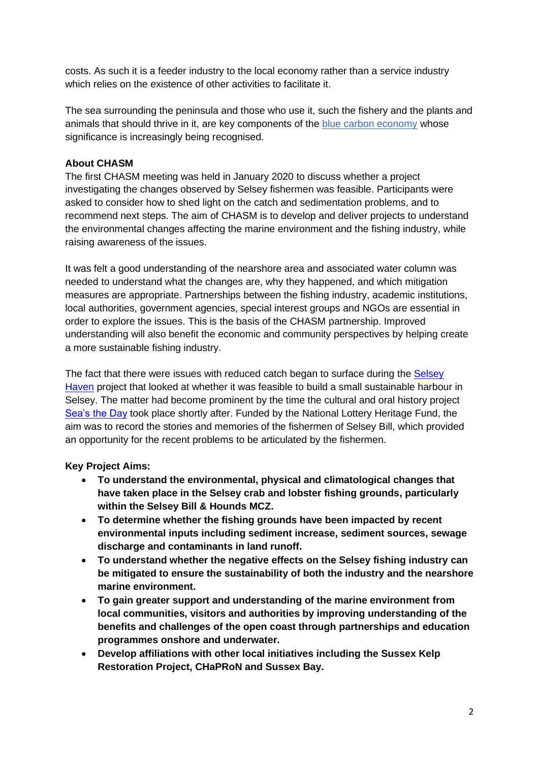costs. As such it is a feeder industry to the local economy rather than a service industry which relies on the existence of other activities to facilitate it.

The sea surrounding the peninsula and those who use it, such the fishery and the plants and animals that should thrive in it, are key components of the [blue carbon economy](https://media.mcsuk.org/documents/BlueCarbon_Report.pdf) whose significance is increasingly being recognised.

# **About CHASM**

The first CHASM meeting was held in January 2020 to discuss whether a project investigating the changes observed by Selsey fishermen was feasible. Participants were asked to consider how to shed light on the catch and sedimentation problems, and to recommend next steps. The aim of CHASM is to develop and deliver projects to understand the environmental changes affecting the marine environment and the fishing industry, while raising awareness of the issues.

It was felt a good understanding of the nearshore area and associated water column was needed to understand what the changes are, why they happened, and which mitigation measures are appropriate. Partnerships between the fishing industry, academic institutions, local authorities, government agencies, special interest groups and NGOs are essential in order to explore the issues. This is the basis of the CHASM partnership. Improved understanding will also benefit the economic and community perspectives by helping create a more sustainable fishing industry.

The fact that there were issues with reduced catch began to surface during the [Selsey](https://peninsulapartnership.org.uk/projects/selsey-haven/)  [Haven](https://peninsulapartnership.org.uk/projects/selsey-haven/) project that looked at whether it was feasible to build a small sustainable harbour in Selsey. The matter had become prominent by the time the cultural and oral history project [Sea's the Day](https://peninsulapartnership.org.uk/projects/seas-the-day/) took place shortly after. Funded by the National Lottery Heritage Fund, the aim was to record the stories and memories of the fishermen of Selsey Bill, which provided an opportunity for the recent problems to be articulated by the fishermen.

# **Key Project Aims:**

- **To understand the environmental, physical and climatological changes that have taken place in the Selsey crab and lobster fishing grounds, particularly within the Selsey Bill & Hounds MCZ.**
- **To determine whether the fishing grounds have been impacted by recent environmental inputs including sediment increase, sediment sources, sewage discharge and contaminants in land runoff.**
- **To understand whether the negative effects on the Selsey fishing industry can be mitigated to ensure the sustainability of both the industry and the nearshore marine environment.**
- **To gain greater support and understanding of the marine environment from local communities, visitors and authorities by improving understanding of the benefits and challenges of the open coast through partnerships and education programmes onshore and underwater.**
- **Develop affiliations with other local initiatives including the Sussex Kelp Restoration Project, CHaPRoN and Sussex Bay.**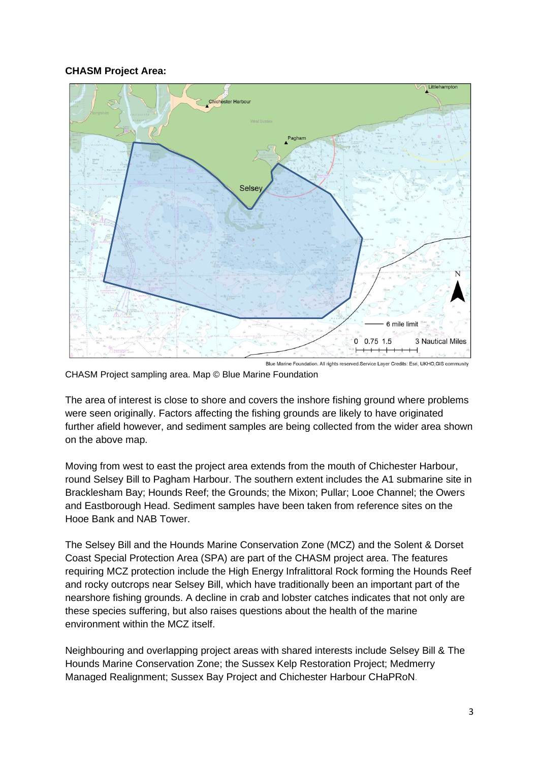#### **CHASM Project Area:**



CHASM Project sampling area. Map © Blue Marine Foundation

The area of interest is close to shore and covers the inshore fishing ground where problems were seen originally. Factors affecting the fishing grounds are likely to have originated further afield however, and sediment samples are being collected from the wider area shown on the above map.

Moving from west to east the project area extends from the mouth of Chichester Harbour, round Selsey Bill to Pagham Harbour. The southern extent includes the A1 submarine site in Bracklesham Bay; Hounds Reef; the Grounds; the Mixon; Pullar; Looe Channel; the Owers and Eastborough Head. Sediment samples have been taken from reference sites on the Hooe Bank and NAB Tower.

The Selsey Bill and the Hounds Marine Conservation Zone (MCZ) and the Solent & Dorset Coast Special Protection Area (SPA) are part of the CHASM project area. The features requiring MCZ protection include the High Energy Infralittoral Rock forming the Hounds Reef and rocky outcrops near Selsey Bill, which have traditionally been an important part of the nearshore fishing grounds. A decline in crab and lobster catches indicates that not only are these species suffering, but also raises questions about the health of the marine environment within the MCZ itself.

Neighbouring and overlapping project areas with shared interests include Selsey Bill & The Hounds Marine Conservation Zone; the Sussex Kelp Restoration Project; Medmerry Managed Realignment; Sussex Bay Project and Chichester Harbour CHaPRoN.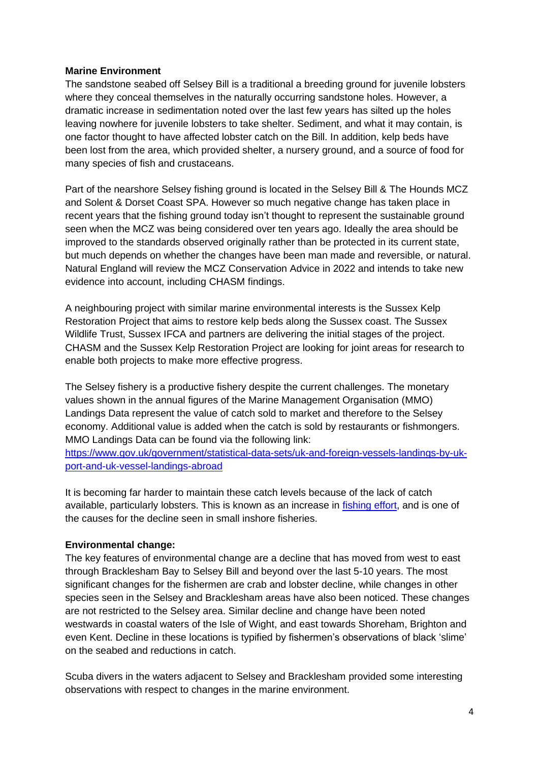#### **Marine Environment**

The sandstone seabed off Selsey Bill is a traditional a breeding ground for juvenile lobsters where they conceal themselves in the naturally occurring sandstone holes. However, a dramatic increase in sedimentation noted over the last few years has silted up the holes leaving nowhere for juvenile lobsters to take shelter. Sediment, and what it may contain, is one factor thought to have affected lobster catch on the Bill. In addition, kelp beds have been lost from the area, which provided shelter, a nursery ground, and a source of food for many species of fish and crustaceans.

Part of the nearshore Selsey fishing ground is located in the Selsey Bill & The Hounds MCZ and Solent & Dorset Coast SPA. However so much negative change has taken place in recent years that the fishing ground today isn't thought to represent the sustainable ground seen when the MCZ was being considered over ten years ago. Ideally the area should be improved to the standards observed originally rather than be protected in its current state, but much depends on whether the changes have been man made and reversible, or natural. Natural England will review the MCZ Conservation Advice in 2022 and intends to take new evidence into account, including CHASM findings.

A neighbouring project with similar marine environmental interests is the Sussex Kelp Restoration Project that aims to restore kelp beds along the Sussex coast. The Sussex Wildlife Trust, Sussex IFCA and partners are delivering the initial stages of the project. CHASM and the Sussex Kelp Restoration Project are looking for joint areas for research to enable both projects to make more effective progress.

The Selsey fishery is a productive fishery despite the current challenges. The monetary values shown in the annual figures of the Marine Management Organisation (MMO) Landings Data represent the value of catch sold to market and therefore to the Selsey economy. Additional value is added when the catch is sold by restaurants or fishmongers. MMO Landings Data can be found via the following link:

[https://www.gov.uk/government/statistical-data-sets/uk-and-foreign-vessels-landings-by-uk](https://www.gov.uk/government/statistical-data-sets/uk-and-foreign-vessels-landings-by-uk-port-and-uk-vessel-landings-abroad)[port-and-uk-vessel-landings-abroad](https://www.gov.uk/government/statistical-data-sets/uk-and-foreign-vessels-landings-by-uk-port-and-uk-vessel-landings-abroad)

It is becoming far harder to maintain these catch levels because of the lack of catch available, particularly lobsters. This is known as an increase in [fishing effort,](https://secure.toolkitfiles.co.uk/clients/34087/sitedata/files/Research/SxIFCA-fishing-effort-2015-to-2019.pdf) and is one of the causes for the decline seen in small inshore fisheries.

#### **Environmental change:**

The key features of environmental change are a decline that has moved from west to east through Bracklesham Bay to Selsey Bill and beyond over the last 5-10 years. The most significant changes for the fishermen are crab and lobster decline, while changes in other species seen in the Selsey and Bracklesham areas have also been noticed. These changes are not restricted to the Selsey area. Similar decline and change have been noted westwards in coastal waters of the Isle of Wight, and east towards Shoreham, Brighton and even Kent. Decline in these locations is typified by fishermen's observations of black 'slime' on the seabed and reductions in catch.

Scuba divers in the waters adjacent to Selsey and Bracklesham provided some interesting observations with respect to changes in the marine environment.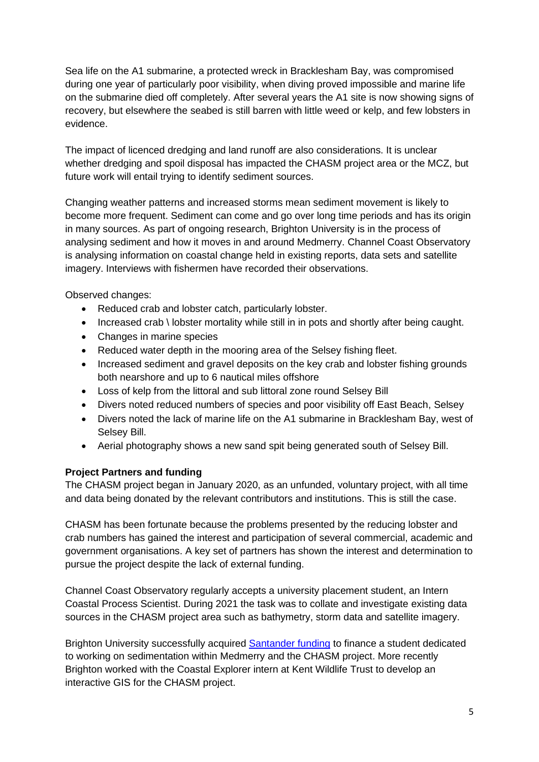Sea life on the A1 submarine, a protected wreck in Bracklesham Bay, was compromised during one year of particularly poor visibility, when diving proved impossible and marine life on the submarine died off completely. After several years the A1 site is now showing signs of recovery, but elsewhere the seabed is still barren with little weed or kelp, and few lobsters in evidence.

The impact of licenced dredging and land runoff are also considerations. It is unclear whether dredging and spoil disposal has impacted the CHASM project area or the MCZ, but future work will entail trying to identify sediment sources.

Changing weather patterns and increased storms mean sediment movement is likely to become more frequent. Sediment can come and go over long time periods and has its origin in many sources. As part of ongoing research, Brighton University is in the process of analysing sediment and how it moves in and around Medmerry. Channel Coast Observatory is analysing information on coastal change held in existing reports, data sets and satellite imagery. Interviews with fishermen have recorded their observations.

Observed changes:

- Reduced crab and lobster catch, particularly lobster.
- Increased crab \ lobster mortality while still in in pots and shortly after being caught.
- Changes in marine species
- Reduced water depth in the mooring area of the Selsey fishing fleet.
- Increased sediment and gravel deposits on the key crab and lobster fishing grounds both nearshore and up to 6 nautical miles offshore
- Loss of kelp from the littoral and sub littoral zone round Selsey Bill
- Divers noted reduced numbers of species and poor visibility off East Beach, Selsey
- Divers noted the lack of marine life on the A1 submarine in Bracklesham Bay, west of Selsey Bill.
- Aerial photography shows a new sand spit being generated south of Selsey Bill.

#### **Project Partners and funding**

The CHASM project began in January 2020, as an unfunded, voluntary project, with all time and data being donated by the relevant contributors and institutions. This is still the case.

CHASM has been fortunate because the problems presented by the reducing lobster and crab numbers has gained the interest and participation of several commercial, academic and government organisations. A key set of partners has shown the interest and determination to pursue the project despite the lack of external funding.

Channel Coast Observatory regularly accepts a university placement student, an Intern Coastal Process Scientist. During 2021 the task was to collate and investigate existing data sources in the CHASM project area such as bathymetry, storm data and satellite imagery.

Brighton University successfully acquired [Santander](https://www.brighton.ac.uk/santander/index.aspx) funding to finance a student dedicated to working on sedimentation within Medmerry and the CHASM project. More recently Brighton worked with the Coastal Explorer intern at Kent Wildlife Trust to develop an interactive GIS for the CHASM project.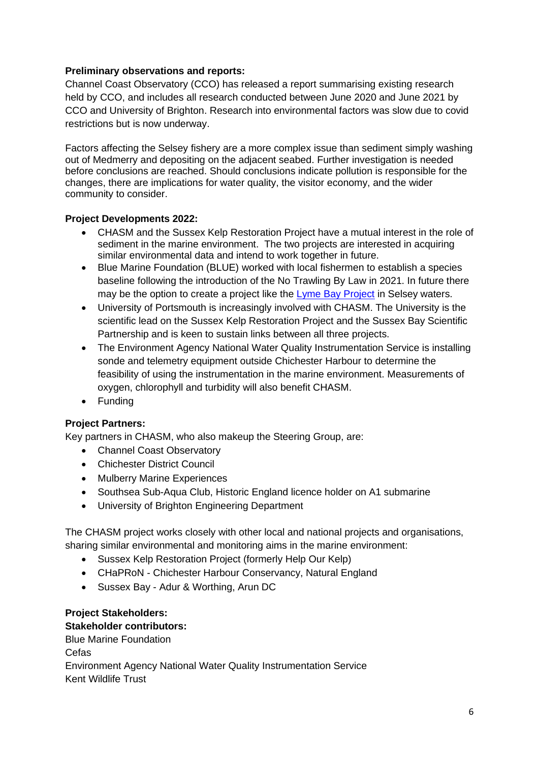# **Preliminary observations and reports:**

Channel Coast Observatory (CCO) has released a report summarising existing research held by CCO, and includes all research conducted between June 2020 and June 2021 by CCO and University of Brighton. Research into environmental factors was slow due to covid restrictions but is now underway.

Factors affecting the Selsey fishery are a more complex issue than sediment simply washing out of Medmerry and depositing on the adjacent seabed. Further investigation is needed before conclusions are reached. Should conclusions indicate pollution is responsible for the changes, there are implications for water quality, the visitor economy, and the wider community to consider.

#### **Project Developments 2022:**

- CHASM and the Sussex Kelp Restoration Project have a mutual interest in the role of sediment in the marine environment. The two projects are interested in acquiring similar environmental data and intend to work together in future.
- Blue Marine Foundation (BLUE) worked with local fishermen to establish a species baseline following the introduction of the No Trawling By Law in 2021. In future there may be the option to create a project like the [Lyme Bay Project](https://www.bluemarinefoundation.com/projects/lyme-bay/) in Selsey waters.
- University of Portsmouth is increasingly involved with CHASM. The University is the scientific lead on the Sussex Kelp Restoration Project and the Sussex Bay Scientific Partnership and is keen to sustain links between all three projects.
- The Environment Agency National Water Quality Instrumentation Service is installing sonde and telemetry equipment outside Chichester Harbour to determine the feasibility of using the instrumentation in the marine environment. Measurements of oxygen, chlorophyll and turbidity will also benefit CHASM.
- Funding

# **Project Partners:**

Key partners in CHASM, who also makeup the Steering Group, are:

- Channel Coast Observatory
- Chichester District Council
- Mulberry Marine Experiences
- Southsea Sub-Aqua Club, Historic England licence holder on A1 submarine
- University of Brighton Engineering Department

The CHASM project works closely with other local and national projects and organisations, sharing similar environmental and monitoring aims in the marine environment:

- Sussex Kelp Restoration Project (formerly Help Our Kelp)
- CHaPRoN Chichester Harbour Conservancy, Natural England
- Sussex Bay Adur & Worthing, Arun DC

## **Project Stakeholders: Stakeholder contributors:**

Blue Marine Foundation Cefas Environment Agency National Water Quality Instrumentation Service Kent Wildlife Trust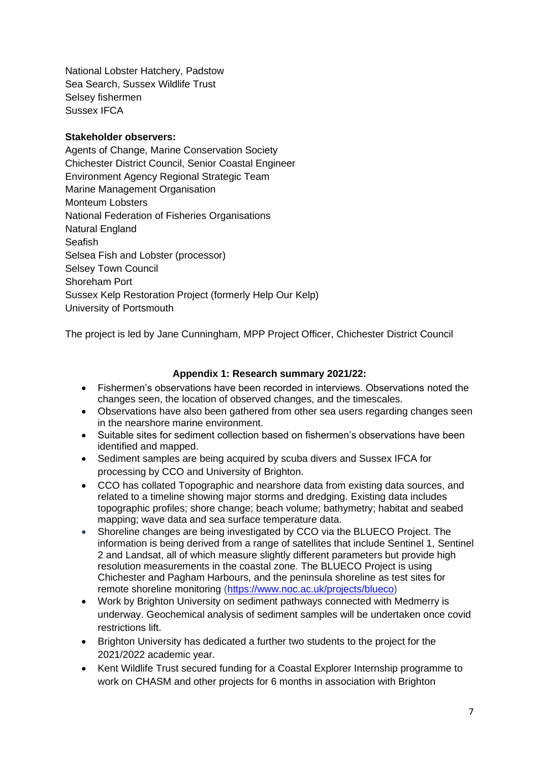National Lobster Hatchery, Padstow Sea Search, Sussex Wildlife Trust Selsey fishermen Sussex IFCA

## **Stakeholder observers:**

Agents of Change, Marine Conservation Society Chichester District Council, Senior Coastal Engineer Environment Agency Regional Strategic Team Marine Management Organisation Monteum Lobsters National Federation of Fisheries Organisations Natural England **Seafish** Selsea Fish and Lobster (processor) Selsey Town Council Shoreham Port Sussex Kelp Restoration Project (formerly Help Our Kelp) University of Portsmouth

The project is led by Jane Cunningham, MPP Project Officer, Chichester District Council

## **Appendix 1: Research summary 2021/22:**

- Fishermen's observations have been recorded in interviews. Observations noted the changes seen, the location of observed changes, and the timescales.
- Observations have also been gathered from other sea users regarding changes seen in the nearshore marine environment.
- Suitable sites for sediment collection based on fishermen's observations have been identified and mapped.
- Sediment samples are being acquired by scuba divers and Sussex IFCA for processing by CCO and University of Brighton.
- CCO has collated Topographic and nearshore data from existing data sources, and related to a timeline showing major storms and dredging. Existing data includes topographic profiles; shore change; beach volume; bathymetry; habitat and seabed mapping; wave data and sea surface temperature data.
- Shoreline changes are being investigated by CCO via the BLUECO Project. The information is being derived from a range of satellites that include Sentinel 1, Sentinel 2 and Landsat, all of which measure slightly different parameters but provide high resolution measurements in the coastal zone. The BLUECO Project is using Chichester and Pagham Harbours, and the peninsula shoreline as test sites for remote shoreline monitoring [\(https://www.noc.ac.uk/projects/blueco\)](https://www.noc.ac.uk/projects/blueco)
- Work by Brighton University on sediment pathways connected with Medmerry is underway. Geochemical analysis of sediment samples will be undertaken once covid restrictions lift.
- Brighton University has dedicated a further two students to the project for the 2021/2022 academic year.
- Kent Wildlife Trust secured funding for a Coastal Explorer Internship programme to work on CHASM and other projects for 6 months in association with Brighton